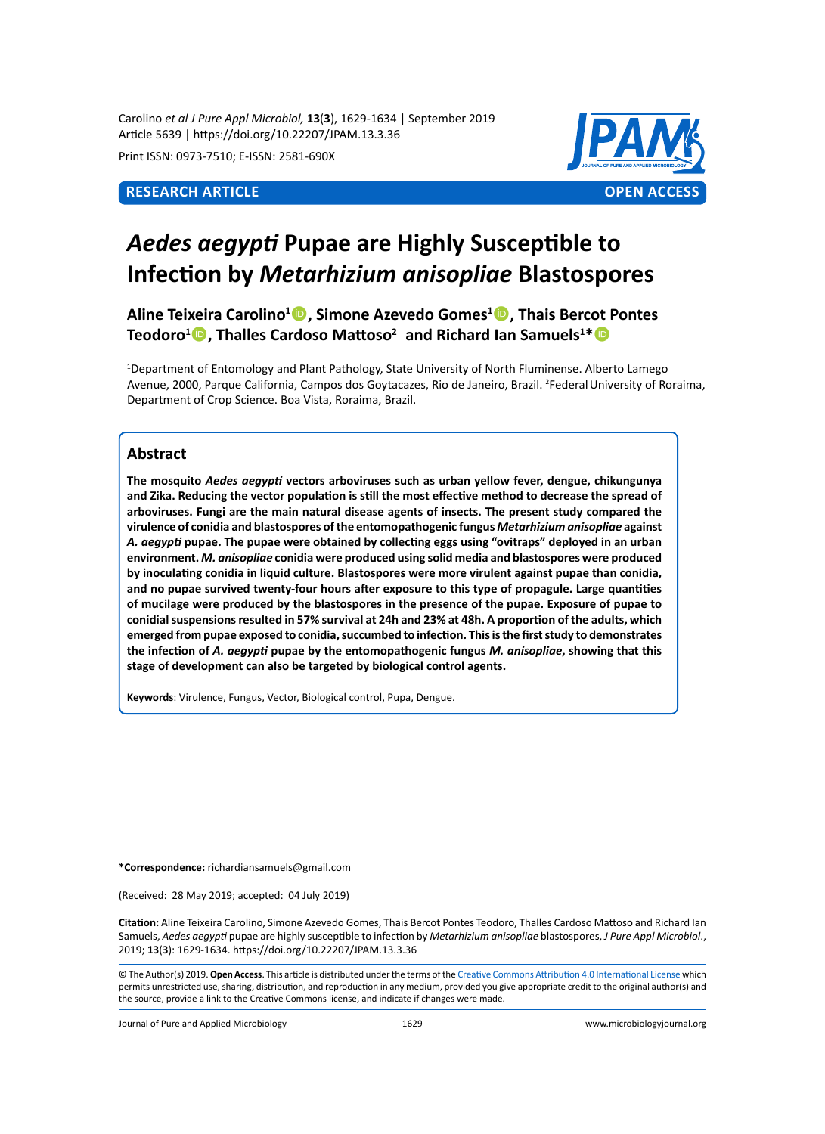Carolino *et al J Pure Appl Microbiol,* **13**(**3**), 1629-1634 | September 2019 Article 5639 | https://doi.org/10.22207/JPAM.13.3.36

Print ISSN: 0973-7510; E-ISSN: 2581-690X



# *Aedes aegypti* **Pupae are Highly Susceptible to Infection by** *Metarhizium anisopliae* **Blastospores**

**Aline Teixeira Carolino1 , Simone Azevedo Gomes1 , Thais Bercot Pontes Teodoro1 , Thalles Cardoso Mattoso<sup>2</sup> and Richard Ian Samuels1 \***

1 Department of Entomology and Plant Pathology, State University of North Fluminense. Alberto Lamego Avenue, 2000, Parque California, Campos dos Goytacazes, Rio de Janeiro, Brazil. <sup>2</sup>Federal University of Roraima, Department of Crop Science. Boa Vista, Roraima, Brazil.

# **Abstract**

**The mosquito** *Aedes aegypti* **vectors arboviruses such as urban yellow fever, dengue, chikungunya and Zika. Reducing the vector population is still the most effective method to decrease the spread of arboviruses. Fungi are the main natural disease agents of insects. The present study compared the virulence of conidia and blastospores of the entomopathogenic fungus** *Metarhizium anisopliae* **against**  *A. aegypti* **pupae. The pupae were obtained by collecting eggs using "ovitraps" deployed in an urban environment.** *M. anisopliae* **conidia were produced using solid media and blastospores were produced by inoculating conidia in liquid culture. Blastospores were more virulent against pupae than conidia, and no pupae survived twenty-four hours after exposure to this type of propagule. Large quantities of mucilage were produced by the blastospores in the presence of the pupae. Exposure of pupae to conidial suspensions resulted in 57% survival at 24h and 23% at 48h. A proportion of the adults, which emerged from pupae exposed to conidia, succumbed to infection. This is the first study to demonstrates the infection of** *A. aegypti* **pupae by the entomopathogenic fungus** *M. anisopliae***, showing that this stage of development can also be targeted by biological control agents.**

**Keywords**: Virulence, Fungus, Vector, Biological control, Pupa, Dengue.

**\*Correspondence:** richardiansamuels@gmail.com

(Received: 28 May 2019; accepted: 04 July 2019)

**Citation:** Aline Teixeira Carolino, Simone Azevedo Gomes, Thais Bercot Pontes Teodoro, Thalles Cardoso Mattoso and Richard Ian Samuels, *Aedes aegypti* pupae are highly susceptible to infection by *Metarhizium anisopliae* blastospores, *J Pure Appl Microbiol*., 2019; **13**(**3**): 1629-1634. https://doi.org/10.22207/JPAM.13.3.36

Journal of Pure and Applied Microbiology 1629 www.microbiologyjournal.org

<sup>©</sup> The Author(s) 2019. **Open Access**. This article is distributed under the terms of the [Creative Commons Attribution 4.0 International License](https://creativecommons.org/licenses/by/4.0/) which permits unrestricted use, sharing, distribution, and reproduction in any medium, provided you give appropriate credit to the original author(s) and the source, provide a link to the Creative Commons license, and indicate if changes were made.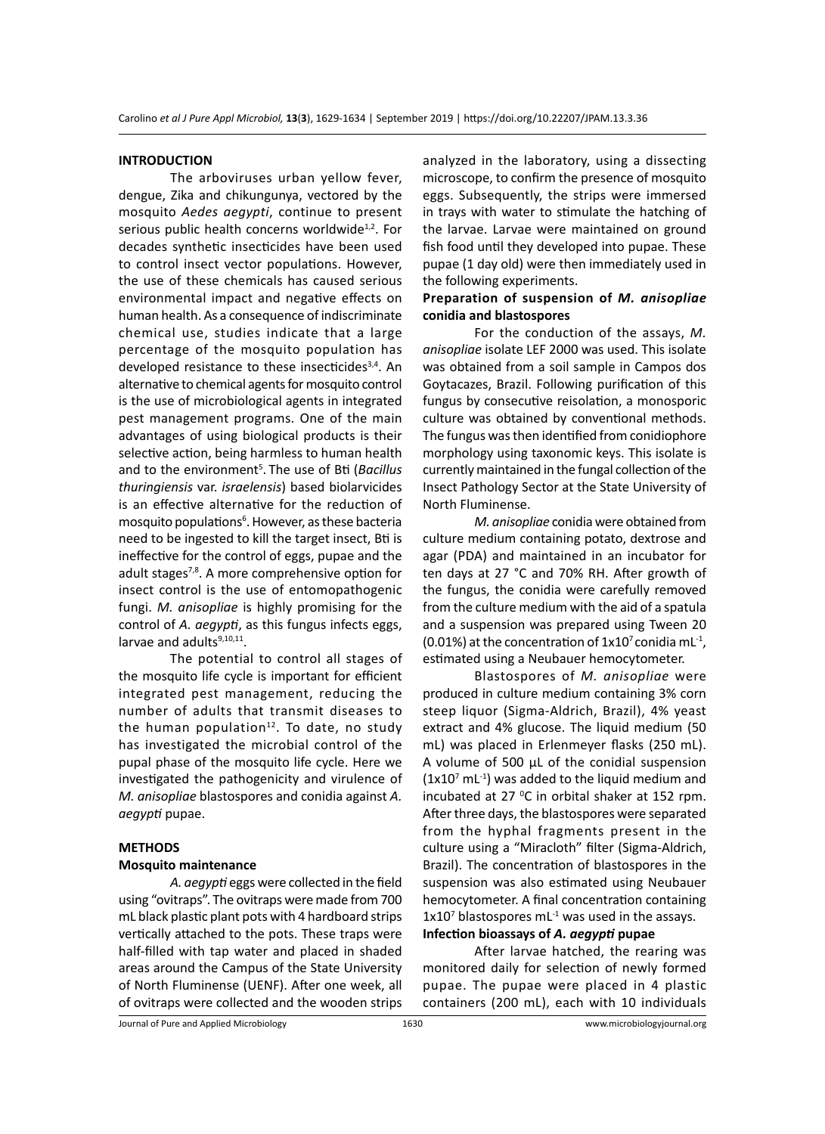#### **INTRODUCTION**

The arboviruses urban yellow fever, dengue, Zika and chikungunya, vectored by the mosquito *Aedes aegypti*, continue to present serious public health concerns worldwide<sup>1,2</sup>. For decades synthetic insecticides have been used to control insect vector populations. However, the use of these chemicals has caused serious environmental impact and negative effects on human health. As a consequence of indiscriminate chemical use, studies indicate that a large percentage of the mosquito population has developed resistance to these insecticides $3,4$ . An alternative to chemical agents for mosquito control is the use of microbiological agents in integrated pest management programs. One of the main advantages of using biological products is their selective action, being harmless to human health and to the environment<sup>5</sup>. The use of Bti (Bacillus *thuringiensis* var. *israelensis*) based biolarvicides is an effective alternative for the reduction of mosquito populations<sup>6</sup>. However, as these bacteria need to be ingested to kill the target insect, Bti is ineffective for the control of eggs, pupae and the adult stages<sup>7,8</sup>. A more comprehensive option for insect control is the use of entomopathogenic fungi. *M. anisopliae* is highly promising for the control of *A. aegypti*, as this fungus infects eggs, larvae and adults<sup>9,10,11</sup>.

The potential to control all stages of the mosquito life cycle is important for efficient integrated pest management, reducing the number of adults that transmit diseases to the human population $12$ . To date, no study has investigated the microbial control of the pupal phase of the mosquito life cycle. Here we investigated the pathogenicity and virulence of *M. anisopliae* blastospores and conidia against *A. aegypti* pupae.

#### **METHODS**

#### **Mosquito maintenance**

*A. aegypti* eggs were collected in the field using "ovitraps". The ovitraps were made from 700 mL black plastic plant pots with 4 hardboard strips vertically attached to the pots. These traps were half-filled with tap water and placed in shaded areas around the Campus of the State University of North Fluminense (UENF). After one week, all of ovitraps were collected and the wooden strips analyzed in the laboratory, using a dissecting microscope, to confirm the presence of mosquito eggs. Subsequently, the strips were immersed in trays with water to stimulate the hatching of the larvae. Larvae were maintained on ground fish food until they developed into pupae. These pupae (1 day old) were then immediately used in the following experiments.

# **Preparation of suspension of** *M. anisopliae* **conidia and blastospores**

For the conduction of the assays, *M. anisopliae* isolate LEF 2000 was used. This isolate was obtained from a soil sample in Campos dos Goytacazes, Brazil. Following purification of this fungus by consecutive reisolation, a monosporic culture was obtained by conventional methods. The fungus was then identified from conidiophore morphology using taxonomic keys. This isolate is currently maintained in the fungal collection of the Insect Pathology Sector at the State University of North Fluminense.

*M. anisopliae* conidia were obtained from culture medium containing potato, dextrose and agar (PDA) and maintained in an incubator for ten days at 27 °C and 70% RH. After growth of the fungus, the conidia were carefully removed from the culture medium with the aid of a spatula and a suspension was prepared using Tween 20  $(0.01\%)$  at the concentration of  $1x10<sup>7</sup>$  conidia mL<sup>-1</sup>, estimated using a Neubauer hemocytometer.

Blastospores of *M. anisopliae* were produced in culture medium containing 3% corn steep liquor (Sigma-Aldrich, Brazil), 4% yeast extract and 4% glucose. The liquid medium (50 mL) was placed in Erlenmeyer flasks (250 mL). A volume of 500  $\mu$ L of the conidial suspension  $(1x10<sup>7</sup> mL<sup>-1</sup>)$  was added to the liquid medium and incubated at 27 $\,^{\circ}$ C in orbital shaker at 152 rpm. After three days, the blastospores were separated from the hyphal fragments present in the culture using a "Miracloth" filter (Sigma-Aldrich, Brazil). The concentration of blastospores in the suspension was also estimated using Neubauer hemocytometer. A final concentration containing  $1x10<sup>7</sup>$  blastospores mL<sup>-1</sup> was used in the assays.

# **Infection bioassays of** *A. aegypti* **pupae**

After larvae hatched, the rearing was monitored daily for selection of newly formed pupae. The pupae were placed in 4 plastic containers (200 mL), each with 10 individuals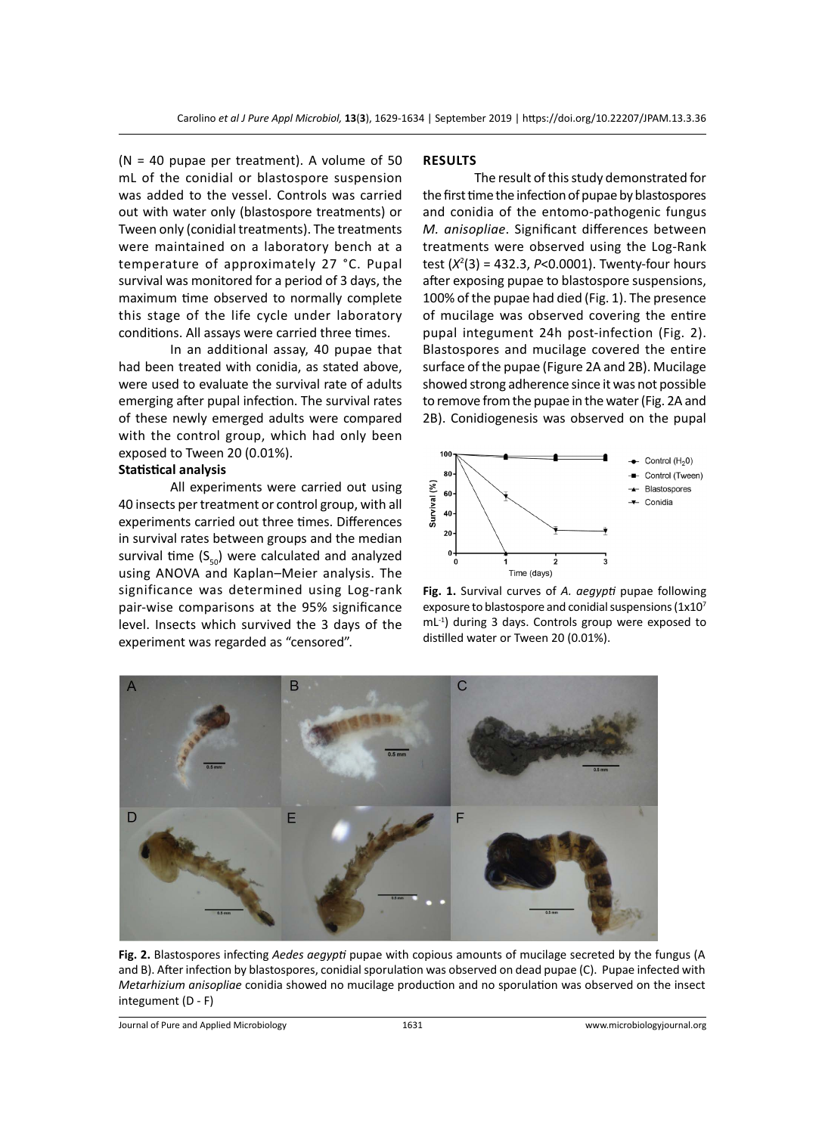$(N = 40$  pupae per treatment). A volume of 50 mL of the conidial or blastospore suspension was added to the vessel. Controls was carried out with water only (blastospore treatments) or Tween only (conidial treatments). The treatments were maintained on a laboratory bench at a temperature of approximately 27 °C. Pupal survival was monitored for a period of 3 days, the maximum time observed to normally complete this stage of the life cycle under laboratory conditions. All assays were carried three times.

In an additional assay, 40 pupae that had been treated with conidia, as stated above, were used to evaluate the survival rate of adults emerging after pupal infection. The survival rates of these newly emerged adults were compared with the control group, which had only been exposed to Tween 20 (0.01%).

# **Statistical analysis**

All experiments were carried out using 40 insects per treatment or control group, with all experiments carried out three times. Differences in survival rates between groups and the median survival time  $(S_{50})$  were calculated and analyzed using ANOVA and Kaplan–Meier analysis. The significance was determined using Log-rank pair-wise comparisons at the 95% significance level. Insects which survived the 3 days of the experiment was regarded as "censored".

#### **RESULTS**

The result of this study demonstrated for the first time the infection of pupae by blastospores and conidia of the entomo-pathogenic fungus *M. anisopliae*. Significant differences between treatments were observed using the Log-Rank test (*X*<sup>2</sup> (3) = 432.3, *P*<0.0001). Twenty-four hours after exposing pupae to blastospore suspensions, 100% of the pupae had died (Fig. 1). The presence of mucilage was observed covering the entire pupal integument 24h post-infection (Fig. 2). Blastospores and mucilage covered the entire surface of the pupae (Figure 2A and 2B). Mucilage showed strong adherence since it was not possible to remove from the pupae in the water (Fig. 2A and 2B). Conidiogenesis was observed on the pupal







**Fig. 2.** Blastospores infecting *Aedes aegypti* pupae with copious amounts of mucilage secreted by the fungus (A and B). After infection by blastospores, conidial sporulation was observed on dead pupae (C). Pupae infected with *Metarhizium anisopliae* conidia showed no mucilage production and no sporulation was observed on the insect integument (D - F)

Journal of Pure and Applied Microbiology 1631 www.microbiologyjournal.org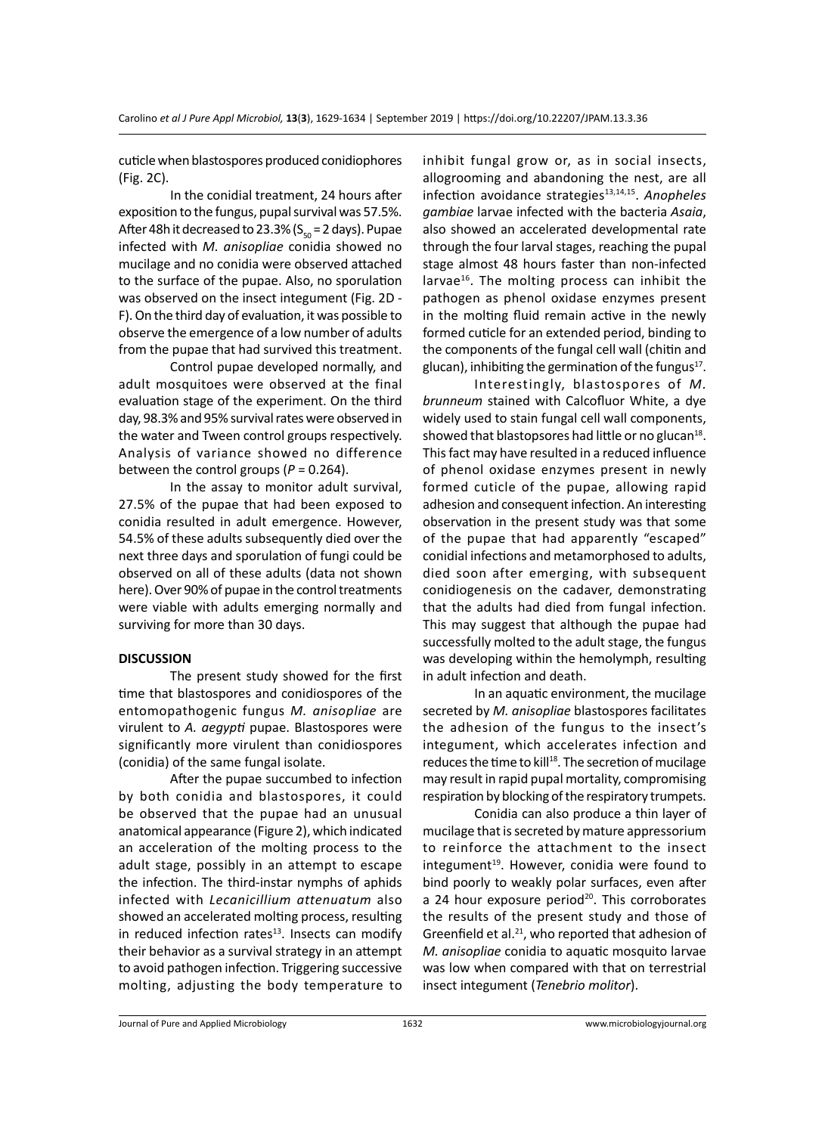cuticle when blastospores produced conidiophores (Fig. 2C).

In the conidial treatment, 24 hours after exposition to the fungus, pupal survival was 57.5%. After 48h it decreased to 23.3% ( $S<sub>eq</sub> = 2$  days). Pupae infected with *M. anisopliae* conidia showed no mucilage and no conidia were observed attached to the surface of the pupae. Also, no sporulation was observed on the insect integument (Fig. 2D - F). On the third day of evaluation, it was possible to observe the emergence of a low number of adults from the pupae that had survived this treatment.

Control pupae developed normally, and adult mosquitoes were observed at the final evaluation stage of the experiment. On the third day, 98.3% and 95% survival rates were observed in the water and Tween control groups respectively. Analysis of variance showed no difference between the control groups (*P* = 0.264).

In the assay to monitor adult survival, 27.5% of the pupae that had been exposed to conidia resulted in adult emergence. However, 54.5% of these adults subsequently died over the next three days and sporulation of fungi could be observed on all of these adults (data not shown here). Over 90% of pupae in the control treatments were viable with adults emerging normally and surviving for more than 30 days.

### **DISCUSSION**

The present study showed for the first time that blastospores and conidiospores of the entomopathogenic fungus *M. anisopliae* are virulent to *A. aegypti* pupae. Blastospores were significantly more virulent than conidiospores (conidia) of the same fungal isolate.

After the pupae succumbed to infection by both conidia and blastospores, it could be observed that the pupae had an unusual anatomical appearance (Figure 2), which indicated an acceleration of the molting process to the adult stage, possibly in an attempt to escape the infection. The third-instar nymphs of aphids infected with *Lecanicillium attenuatum* also showed an accelerated molting process, resulting in reduced infection rates $13$ . Insects can modify their behavior as a survival strategy in an attempt to avoid pathogen infection. Triggering successive molting, adjusting the body temperature to inhibit fungal grow or, as in social insects, allogrooming and abandoning the nest, are all infection avoidance strategies<sup>13,14,15</sup>. Anopheles *gambiae* larvae infected with the bacteria *Asaia*, also showed an accelerated developmental rate through the four larval stages, reaching the pupal stage almost 48 hours faster than non-infected larvae<sup>16</sup>. The molting process can inhibit the pathogen as phenol oxidase enzymes present in the molting fluid remain active in the newly formed cuticle for an extended period, binding to the components of the fungal cell wall (chitin and glucan), inhibiting the germination of the fungus $^{17}$ .

Interestingly, blastospores of *M. brunneum* stained with Calcofluor White, a dye widely used to stain fungal cell wall components, showed that blastopsores had little or no glucan $^{18}$ . This fact may have resulted in a reduced influence of phenol oxidase enzymes present in newly formed cuticle of the pupae, allowing rapid adhesion and consequent infection. An interesting observation in the present study was that some of the pupae that had apparently "escaped" conidial infections and metamorphosed to adults, died soon after emerging, with subsequent conidiogenesis on the cadaver, demonstrating that the adults had died from fungal infection. This may suggest that although the pupae had successfully molted to the adult stage, the fungus was developing within the hemolymph, resulting in adult infection and death.

In an aquatic environment, the mucilage secreted by *M. anisopliae* blastospores facilitates the adhesion of the fungus to the insect's integument, which accelerates infection and reduces the time to kill<sup>18</sup>. The secretion of mucilage may result in rapid pupal mortality, compromising respiration by blocking of the respiratory trumpets.

Conidia can also produce a thin layer of mucilage that is secreted by mature appressorium to reinforce the attachment to the insect integument<sup>19</sup>. However, conidia were found to bind poorly to weakly polar surfaces, even after a 24 hour exposure period $20$ . This corroborates the results of the present study and those of Greenfield et al. $21$ , who reported that adhesion of *M. anisopliae* conidia to aquatic mosquito larvae was low when compared with that on terrestrial insect integument (*Tenebrio molitor*).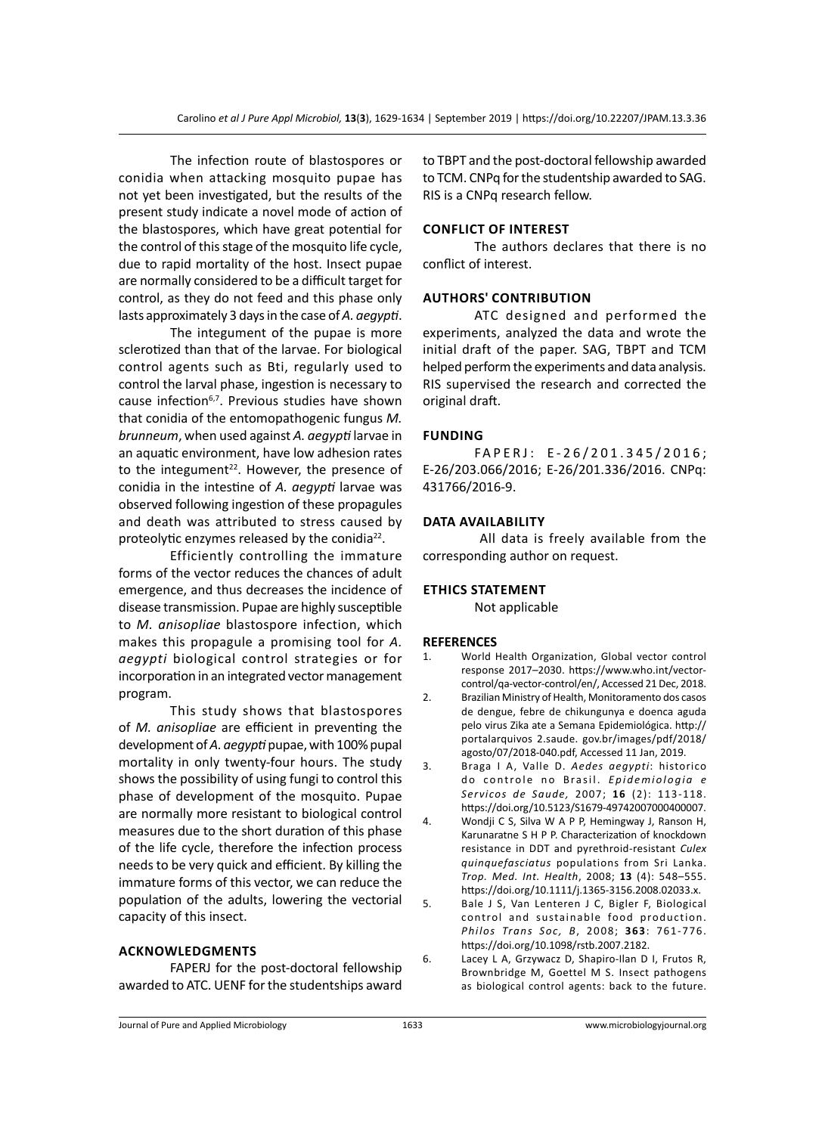The infection route of blastospores or conidia when attacking mosquito pupae has not yet been investigated, but the results of the present study indicate a novel mode of action of the blastospores, which have great potential for the control of this stage of the mosquito life cycle, due to rapid mortality of the host. Insect pupae are normally considered to be a difficult target for control, as they do not feed and this phase only lasts approximately 3 days in the case of *A. aegypti*.

The integument of the pupae is more sclerotized than that of the larvae. For biological control agents such as Bti, regularly used to control the larval phase, ingestion is necessary to cause infection<sup>6,7</sup>. Previous studies have shown that conidia of the entomopathogenic fungus *M. brunneum*, when used against *A. aegypti* larvae in an aquatic environment, have low adhesion rates to the integument<sup>22</sup>. However, the presence of conidia in the intestine of *A. aegypti* larvae was observed following ingestion of these propagules and death was attributed to stress caused by proteolytic enzymes released by the conidia<sup>22</sup>.

Efficiently controlling the immature forms of the vector reduces the chances of adult emergence, and thus decreases the incidence of disease transmission. Pupae are highly susceptible to *M. anisopliae* blastospore infection, which makes this propagule a promising tool for *A. aegypti* biological control strategies or for incorporation in an integrated vector management program.

This study shows that blastospores of *M. anisopliae* are efficient in preventing the development of *A. aegypti* pupae, with 100% pupal mortality in only twenty-four hours. The study shows the possibility of using fungi to control this phase of development of the mosquito. Pupae are normally more resistant to biological control measures due to the short duration of this phase of the life cycle, therefore the infection process needs to be very quick and efficient. By killing the immature forms of this vector, we can reduce the population of the adults, lowering the vectorial capacity of this insect.

### **Acknowledgments**

FAPERJ for the post-doctoral fellowship awarded to ATC. UENF for the studentships award to TBPT and the post-doctoral fellowship awarded to TCM. CNPq for the studentship awarded to SAG. RIS is a CNPq research fellow.

#### **Conflict of Interest**

The authors declares that there is no conflict of interest.

#### **Authors' Contribution**

ATC designed and performed the experiments, analyzed the data and wrote the initial draft of the paper. SAG, TBPT and TCM helped perform the experiments and data analysis. RIS supervised the research and corrected the original draft.

#### **Funding**

FAPERJ: E-26/201.345/2016; E-26/203.066/2016; E-26/201.336/2016. CNPq: 431766/2016-9.

### **Data Availability**

 All data is freely available from the corresponding author on request.

### **Ethics Statement**

Not applicable

#### **REFERENCES**

- 1. World Health Organization, Global vector control response 2017–2030. https://www.who.int/vectorcontrol/qa-vector-control/en/, Accessed 21 Dec, 2018.
- 2. Brazilian Ministry of Health, Monitoramento dos casos de dengue, febre de chikungunya e doenca aguda pelo virus Zika ate a Semana Epidemiológica. http:// portalarquivos 2.saude. gov.br/images/pdf/2018/ agosto/07/2018-040.pdf, Accessed 11 Jan, 2019.
- 3. Braga I A, Valle D. *Aedes aegypti*: historico do controle no Brasil. *Epidemiologia e Servicos de Saude,* 2007; **16** (2): 113-118. https://doi.org/10.5123/S1679-49742007000400007.
- 4. Wondji C S, Silva W A P P, Hemingway J, Ranson H, Karunaratne S H P P. Characterization of knockdown resistance in DDT and pyrethroid-resistant *Culex quinquefasciatus* populations from Sri Lanka. *Trop. Med. Int. Health*, 2008; **13** (4): 548–555. https://doi.org/10.1111/j.1365-3156.2008.02033.x.
- 5. Bale J S, Van Lenteren J C, Bigler F, Biological control and sustainable food production. *Philos Trans Soc, B*, 2008; **363**: 761-776. https://doi.org/10.1098/rstb.2007.2182.
- 6. Lacey L A, Grzywacz D, Shapiro-Ilan D I, Frutos R, Brownbridge M, Goettel M S. Insect pathogens as biological control agents: back to the future.